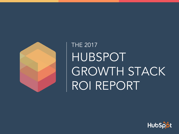

# THE 2017 HUBSPOT GROWTH STACK ROI REPORT

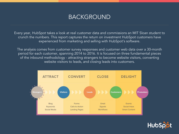### BACKGROUND

Every year, HubSpot takes a look at real customer data and commissions an MIT Sloan student to crunch the numbers. This report captures the return on investment HubSpot customers have experienced from marketing and selling with HubSpot's software.

The analysis comes from customer survey responses and customer web data over a 30-month period for each customer, spanning 2014 to 2016. It is focused on three fundamental pieces of the inbound methodology - attracting strangers to become website visitors, converting website visitors to leads, and closing leads into customers.



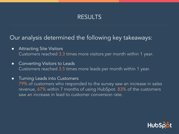### RESULTS

### Our analysis determined the following key takeaways:

- **•** Attracting Site Visitors Customers reached 3.3 times more visitors per month within 1 year.
- Converting Visitors to Leads Customers reached 3.5 times more leads per month within 1 year.

### ● Turning Leads into Customers

79% of customers who responded to the survey saw an increase in sales revenue, 67% within 7 months of using HubSpot. 83% of the customers saw an increase in lead to customer conversion rate.

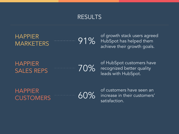### RESULTS

HAPPIER MARKETERS

91%

of growth stack users agreed HubSpot has helped them achieve their growth goals.

HAPPIER SALES REPS

70%

of HubSpot customers have recognized better quality leads with HubSpot.

HAPPIER **CUSTOMERS** 

60%

of customers have seen an increase in their customers' satisfaction.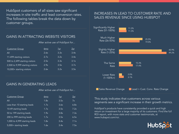HubSpot customers of all sizes saw significant increases in site traffic and lead conversion rates. The following tables break the data down by customer groups.

#### GAINS IN ATTRACTING WEBSITE VISITORS

After active use of HubSpot for...

| <b>Customer Group</b>            | 6 <sub>mo</sub> | 1yr  | <u> 2yr</u> |
|----------------------------------|-----------------|------|-------------|
| All                              | 2.6x            | 3.3x | 3.4x        |
| 11-499 starting visitors         | 2.7x            | 3.2x | 3.4x        |
| 500 to 2,499 starting visitors   | 2.5x            | 3.3x | 3.1x        |
| 2,500 to 9,999 starting visitors | 2.9x            | 3.5x | 3.7x        |
| 10,000+ starting visitors        | 2.6x            | 3.2x | 3.5x        |

#### GAINS IN GENERATING LEADS

After active use of HubSpot for...

| <b>Customer Group</b>         | 6 <sub>mo</sub> | 1yr  | <u> 2yr</u> |
|-------------------------------|-----------------|------|-------------|
| All                           | 1.8x            | 3.5x | 7x          |
| Less than 10 starting leads   | 1.7x            | 3.6x | 6.8x        |
| 10-49 starting leads          | 1.7x            | 3.5x | 7.2x        |
| 50 to 199 starting leads      | 1.9x            | 3.8x | 7.3x        |
| 200 to 999 starting leads     | 1.7x            | 3.5x | 6.5x        |
| 1,000 to 4,999 starting leads | 1.8x            | 3.4x | 7.1x        |
| 5,000+ starting leads         | 1.6x            | 3.4x | 7.5x        |

#### INCREASES IN LEAD TO CUSTOMER RATE AND SALES REVENUE SINCE USING HUBSPOT



This study indicates that customers across various segments see a significant increase in their growth metrics.

HubSpot's products have consistently provided a quick and high return on investment for a large majority of its customers. Find the full ROI report, with more stats and customer testimonials, at www.hubspot.com/roi.

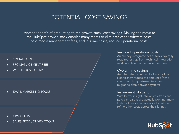### POTENTIAL COST SAVINGS

Another benefit of graduating to the growth stack: cost savings. Making the move to the HubSpot growth stack enables many teams to eliminate other software costs, paid media management fees, and in some cases, reduce operational costs.

- SOCIAL TOOLS
- PPC MANAGEMENT FEES
- WEBSITE & SEO SERVICES

**EMAIL MARKETING TOOLS** 

- CRM COSTS
- SALES PRODUCTIVITY TOOLS

#### Reduced operational costs

An already integrated set of tools typically requires less up-front technical integration work, and less maintenance over time.

#### Overall time savings

An integrated solution like HubSpot can significantly reduce the amount of time spent switching between tools and migrating data between systems.

#### Refinement of spend

With better insight into which efforts and paid campaigns are actually working, many HubSpot customers are able to reduce or refine other costs across their funnel.

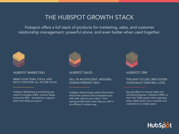### THE HUBSPOT GROWTH STACK

Hubspot offers a full stack of products for marketing, sales, and customer relationship management: powerful alone, and even better when used together.

#### HUBSPOT MARKETING

#### BRING YOUR TEAM, TOOLS, AND DATA TOGETHER, ALL IN ONE PLACE.



#### HUBSPOT SALES

#### SELL IN AN EFFICIENT, MODERN, HUMAN-FRIENDLY WAY.

HubSpot Sales brings useful information about the contacts and companies you with with right to your inbox. Time saving productivity tools help you sell in an efficient, modern way.



#### HUBSPOT CRM

#### THE-EASY-TO USE CRM SYSTEM YOUR SALES TEAM WILL LOVE.

Say goodbye to manual tasks and confusing features. HubSpot CRM is a real, free CRM system that organizes every detail about your contacts and customers in a single place.



HubSpot Marketing is everything you need to increase traffic, convert leads, and prove ROI – backed by a support team that helps you grow.